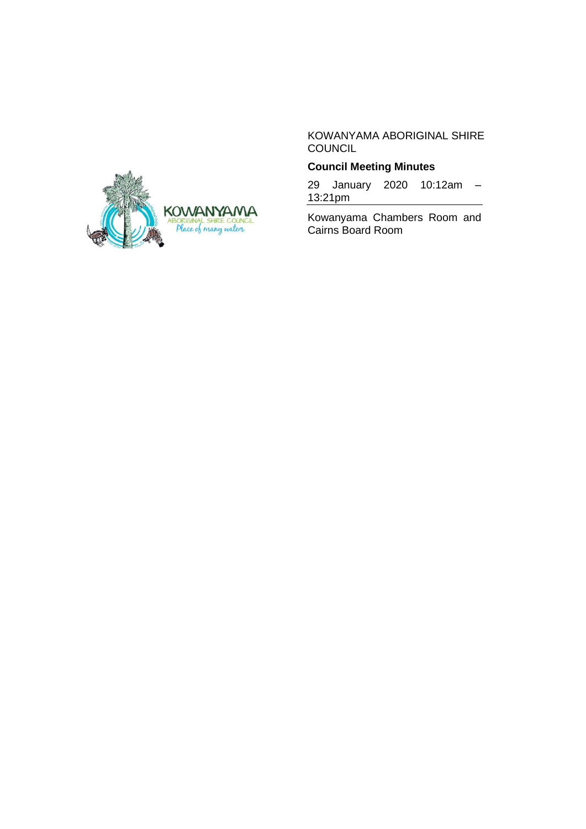KOWANYAMA ABORIGINAL SHIRE COUNCIL

# **Council Meeting Minutes**

29 January 2020 10:12am – 13:21pm

Kowanyama Chambers Room and Cairns Board Room

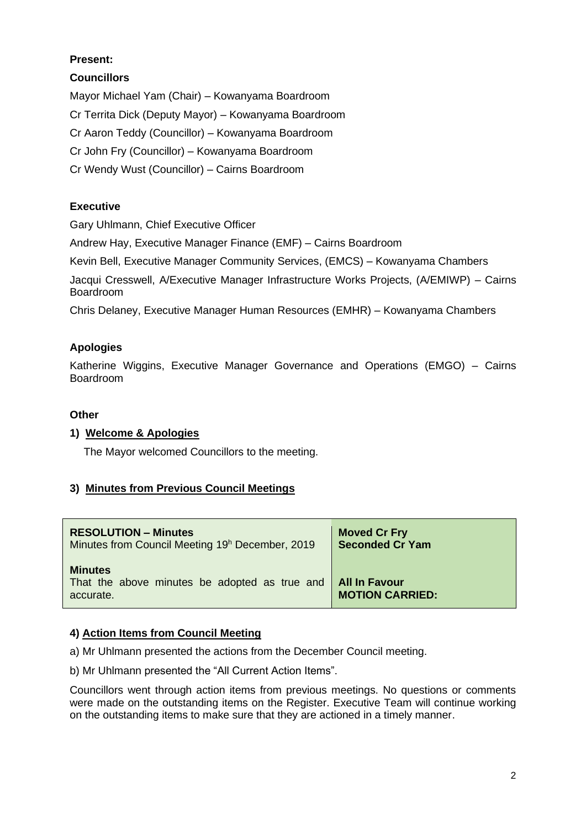# **Present:**

# **Councillors**

Mayor Michael Yam (Chair) – Kowanyama Boardroom Cr Territa Dick (Deputy Mayor) – Kowanyama Boardroom Cr Aaron Teddy (Councillor) – Kowanyama Boardroom Cr John Fry (Councillor) – Kowanyama Boardroom Cr Wendy Wust (Councillor) – Cairns Boardroom

# **Executive**

Gary Uhlmann, Chief Executive Officer

Andrew Hay, Executive Manager Finance (EMF) – Cairns Boardroom

Kevin Bell, Executive Manager Community Services, (EMCS) – Kowanyama Chambers

Jacqui Cresswell, A/Executive Manager Infrastructure Works Projects, (A/EMIWP) – Cairns Boardroom

Chris Delaney, Executive Manager Human Resources (EMHR) – Kowanyama Chambers

# **Apologies**

Katherine Wiggins, Executive Manager Governance and Operations (EMGO) – Cairns Boardroom

# **Other**

# **1) Welcome & Apologies**

The Mayor welcomed Councillors to the meeting.

# **3) Minutes from Previous Council Meetings**

| <b>RESOLUTION - Minutes</b>                                                  | <b>Moved Cr Fry</b>                            |
|------------------------------------------------------------------------------|------------------------------------------------|
| Minutes from Council Meeting 19 <sup>h</sup> December, 2019                  | <b>Seconded Cr Yam</b>                         |
| <b>Minutes</b><br>That the above minutes be adopted as true and<br>accurate. | <b>All In Favour</b><br><b>MOTION CARRIED:</b> |

# **4) Action Items from Council Meeting**

a) Mr Uhlmann presented the actions from the December Council meeting.

b) Mr Uhlmann presented the "All Current Action Items".

Councillors went through action items from previous meetings. No questions or comments were made on the outstanding items on the Register. Executive Team will continue working on the outstanding items to make sure that they are actioned in a timely manner.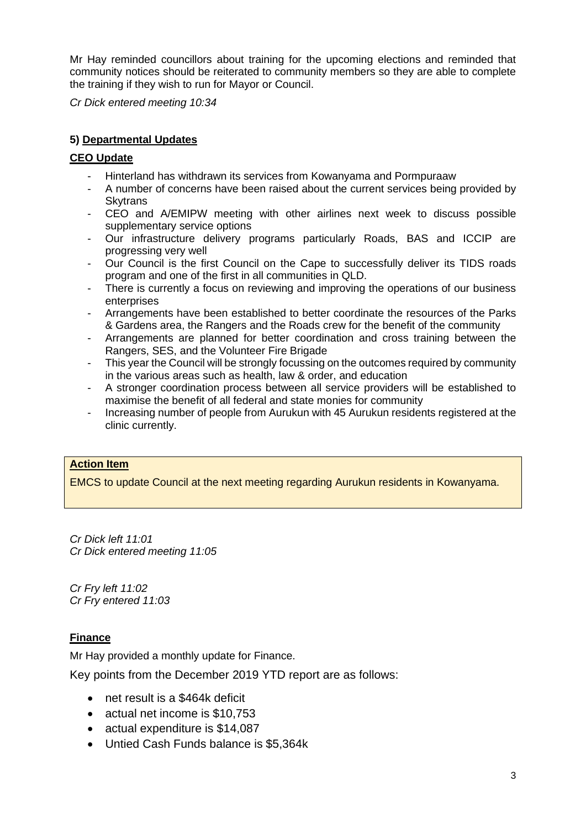Mr Hay reminded councillors about training for the upcoming elections and reminded that community notices should be reiterated to community members so they are able to complete the training if they wish to run for Mayor or Council.

*Cr Dick entered meeting 10:34* 

# **5) Departmental Updates**

## **CEO Update**

- Hinterland has withdrawn its services from Kowanyama and Pormpuraaw
- A number of concerns have been raised about the current services being provided by **Skytrans**
- CEO and A/EMIPW meeting with other airlines next week to discuss possible supplementary service options
- Our infrastructure delivery programs particularly Roads, BAS and ICCIP are progressing very well
- Our Council is the first Council on the Cape to successfully deliver its TIDS roads program and one of the first in all communities in QLD.
- There is currently a focus on reviewing and improving the operations of our business enterprises
- Arrangements have been established to better coordinate the resources of the Parks & Gardens area, the Rangers and the Roads crew for the benefit of the community
- Arrangements are planned for better coordination and cross training between the Rangers, SES, and the Volunteer Fire Brigade
- This year the Council will be strongly focussing on the outcomes required by community in the various areas such as health, law & order, and education
- A stronger coordination process between all service providers will be established to maximise the benefit of all federal and state monies for community
- Increasing number of people from Aurukun with 45 Aurukun residents registered at the clinic currently.

# **Action Item**

EMCS to update Council at the next meeting regarding Aurukun residents in Kowanyama.

*Cr Dick left 11:01 Cr Dick entered meeting 11:05*

*Cr Fry left 11:02 Cr Fry entered 11:03* 

# **Finance**

Mr Hay provided a monthly update for Finance.

Key points from the December 2019 YTD report are as follows:

- net result is a \$464k deficit
- actual net income is \$10,753
- actual expenditure is \$14,087
- Untied Cash Funds balance is \$5,364k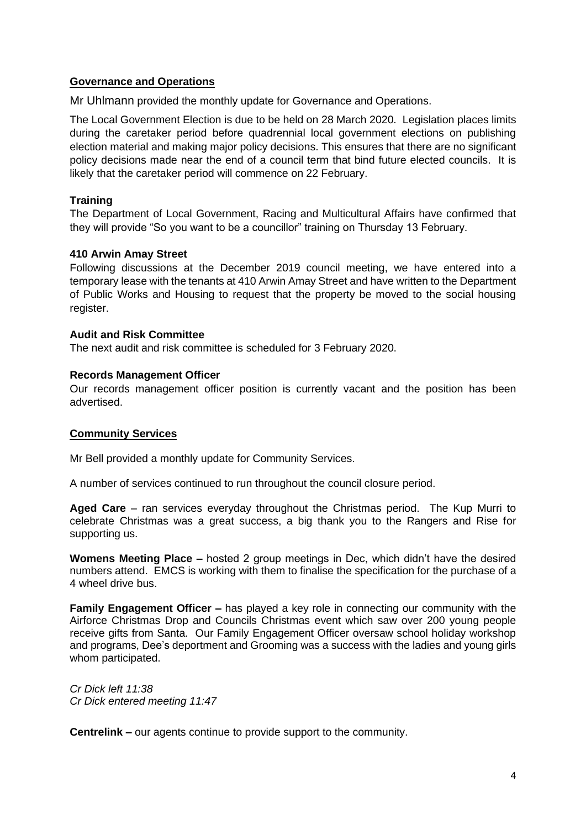### **Governance and Operations**

Mr Uhlmann provided the monthly update for Governance and Operations.

The Local Government Election is due to be held on 28 March 2020. Legislation places limits during the caretaker period before quadrennial local government elections on publishing election material and making major policy decisions. This ensures that there are no significant policy decisions made near the end of a council term that bind future elected councils. It is likely that the caretaker period will commence on 22 February.

### **Training**

The Department of Local Government, Racing and Multicultural Affairs have confirmed that they will provide "So you want to be a councillor" training on Thursday 13 February.

### **410 Arwin Amay Street**

Following discussions at the December 2019 council meeting, we have entered into a temporary lease with the tenants at 410 Arwin Amay Street and have written to the Department of Public Works and Housing to request that the property be moved to the social housing register.

#### **Audit and Risk Committee**

The next audit and risk committee is scheduled for 3 February 2020.

#### **Records Management Officer**

Our records management officer position is currently vacant and the position has been advertised.

### **Community Services**

Mr Bell provided a monthly update for Community Services.

A number of services continued to run throughout the council closure period.

**Aged Care** – ran services everyday throughout the Christmas period. The Kup Murri to celebrate Christmas was a great success, a big thank you to the Rangers and Rise for supporting us.

**Womens Meeting Place –** hosted 2 group meetings in Dec, which didn't have the desired numbers attend. EMCS is working with them to finalise the specification for the purchase of a 4 wheel drive bus.

**Family Engagement Officer –** has played a key role in connecting our community with the Airforce Christmas Drop and Councils Christmas event which saw over 200 young people receive gifts from Santa. Our Family Engagement Officer oversaw school holiday workshop and programs, Dee's deportment and Grooming was a success with the ladies and young girls whom participated.

*Cr Dick left 11:38 Cr Dick entered meeting 11:47*

**Centrelink –** our agents continue to provide support to the community.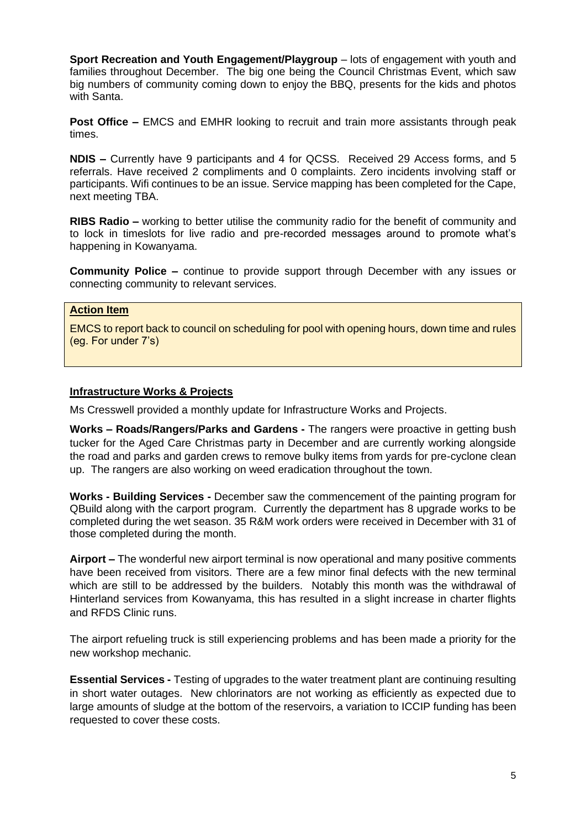**Sport Recreation and Youth Engagement/Playgroup** – lots of engagement with youth and families throughout December. The big one being the Council Christmas Event, which saw big numbers of community coming down to enjoy the BBQ, presents for the kids and photos with Santa.

**Post Office –** EMCS and EMHR looking to recruit and train more assistants through peak times.

**NDIS –** Currently have 9 participants and 4 for QCSS. Received 29 Access forms, and 5 referrals. Have received 2 compliments and 0 complaints. Zero incidents involving staff or participants. Wifi continues to be an issue. Service mapping has been completed for the Cape, next meeting TBA.

**RIBS Radio –** working to better utilise the community radio for the benefit of community and to lock in timeslots for live radio and pre-recorded messages around to promote what's happening in Kowanyama.

**Community Police –** continue to provide support through December with any issues or connecting community to relevant services.

# **Action Item**

EMCS to report back to council on scheduling for pool with opening hours, down time and rules (eg. For under 7's)

### **Infrastructure Works & Projects**

Ms Cresswell provided a monthly update for Infrastructure Works and Projects.

**Works – Roads/Rangers/Parks and Gardens -** The rangers were proactive in getting bush tucker for the Aged Care Christmas party in December and are currently working alongside the road and parks and garden crews to remove bulky items from yards for pre-cyclone clean up. The rangers are also working on weed eradication throughout the town.

**Works - Building Services -** December saw the commencement of the painting program for QBuild along with the carport program. Currently the department has 8 upgrade works to be completed during the wet season. 35 R&M work orders were received in December with 31 of those completed during the month.

**Airport –** The wonderful new airport terminal is now operational and many positive comments have been received from visitors. There are a few minor final defects with the new terminal which are still to be addressed by the builders. Notably this month was the withdrawal of Hinterland services from Kowanyama, this has resulted in a slight increase in charter flights and RFDS Clinic runs.

The airport refueling truck is still experiencing problems and has been made a priority for the new workshop mechanic.

**Essential Services -** Testing of upgrades to the water treatment plant are continuing resulting in short water outages. New chlorinators are not working as efficiently as expected due to large amounts of sludge at the bottom of the reservoirs, a variation to ICCIP funding has been requested to cover these costs.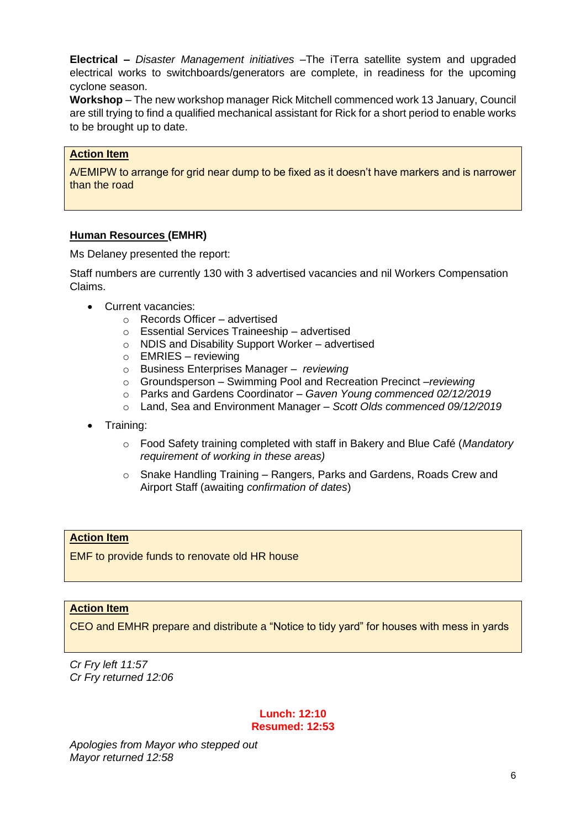**Electrical –** *Disaster Management initiatives –*The iTerra satellite system and upgraded electrical works to switchboards/generators are complete, in readiness for the upcoming cyclone season.

**Workshop** – The new workshop manager Rick Mitchell commenced work 13 January, Council are still trying to find a qualified mechanical assistant for Rick for a short period to enable works to be brought up to date.

### **Action Item**

A/EMIPW to arrange for grid near dump to be fixed as it doesn't have markers and is narrower than the road

#### **Human Resources (EMHR)**

Ms Delaney presented the report:

Staff numbers are currently 130 with 3 advertised vacancies and nil Workers Compensation Claims.

- Current vacancies:
	- o Records Officer advertised
	- o Essential Services Traineeship advertised
	- o NDIS and Disability Support Worker advertised
	- $\circ$  EMRIES reviewing
	- o Business Enterprises Manager *– reviewing*
	- o Groundsperson Swimming Pool and Recreation Precinct –*reviewing*
	- o Parks and Gardens Coordinator *Gaven Young commenced 02/12/2019*
	- o Land, Sea and Environment Manager *Scott Olds commenced 09/12/2019*
- Training:
	- o Food Safety training completed with staff in Bakery and Blue Café (*Mandatory requirement of working in these areas)*
	- o Snake Handling Training Rangers, Parks and Gardens, Roads Crew and Airport Staff (awaiting *confirmation of dates*)

#### **Action Item**

EMF to provide funds to renovate old HR house

# **Action Item**

CEO and EMHR prepare and distribute a "Notice to tidy yard" for houses with mess in yards

*Cr Fry left 11:57 Cr Fry returned 12:06*

#### **Lunch: 12:10 Resumed: 12:53**

*Apologies from Mayor who stepped out Mayor returned 12:58*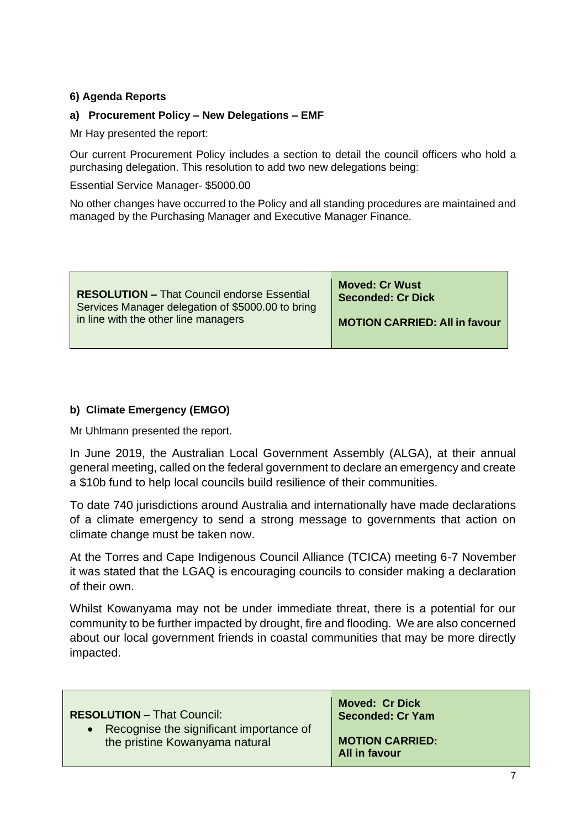# **6) Agenda Reports**

### **a) Procurement Policy – New Delegations – EMF**

Mr Hay presented the report:

Our current Procurement Policy includes a section to detail the council officers who hold a purchasing delegation. This resolution to add two new delegations being:

Essential Service Manager- \$5000.00

No other changes have occurred to the Policy and all standing procedures are maintained and managed by the Purchasing Manager and Executive Manager Finance.

| <b>RESOLUTION - That Council endorse Essential</b> | <b>Moved: Cr Wust</b>                |
|----------------------------------------------------|--------------------------------------|
| Services Manager delegation of \$5000.00 to bring  | Seconded: Cr Dick                    |
| in line with the other line managers               | <b>MOTION CARRIED: All in favour</b> |

### **b) Climate Emergency (EMGO)**

Mr Uhlmann presented the report.

In June 2019, the Australian Local Government Assembly (ALGA), at their annual general meeting, called on the federal government to declare an emergency and create a \$10b fund to help local councils build resilience of their communities.

To date 740 jurisdictions around Australia and internationally have made declarations of a climate emergency to send a strong message to governments that action on climate change must be taken now.

At the Torres and Cape Indigenous Council Alliance (TCICA) meeting 6-7 November it was stated that the LGAQ is encouraging councils to consider making a declaration of their own.

Whilst Kowanyama may not be under immediate threat, there is a potential for our community to be further impacted by drought, fire and flooding. We are also concerned about our local government friends in coastal communities that may be more directly impacted.

| <b>RESOLUTION - That Council:</b>         | <b>Moved: Cr Dick</b><br><b>Seconded: Cr Yam</b> |
|-------------------------------------------|--------------------------------------------------|
| • Recognise the significant importance of | <b>MOTION CARRIED:</b>                           |
| the pristine Kowanyama natural            | All in favour                                    |